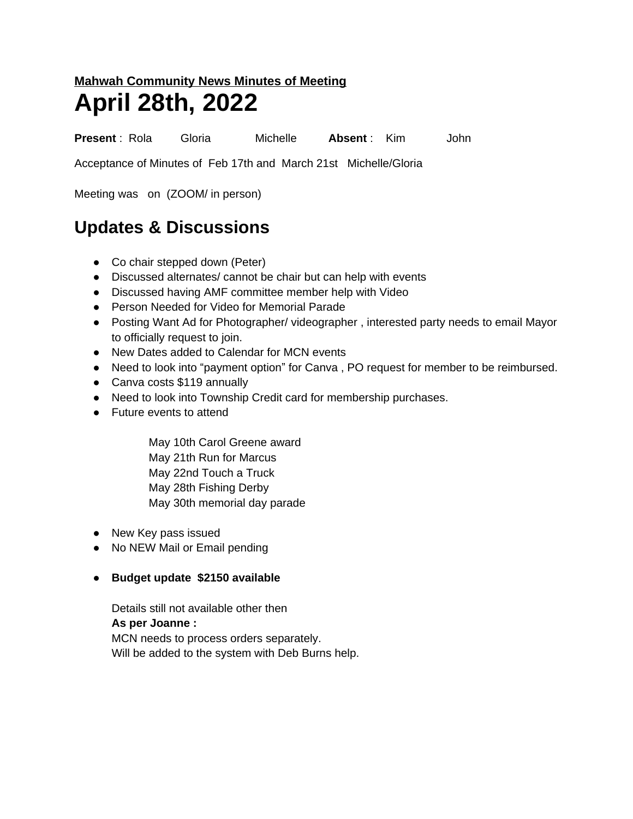## **Mahwah Community News Minutes of Meeting April 28th, 2022**

**Present** : Rola Gloria Michelle **Absent** : Kim John

Acceptance of Minutes of Feb 17th and March 21st Michelle/Gloria

Meeting was on (ZOOM/ in person)

## **Updates & Discussions**

- Co chair stepped down (Peter)
- Discussed alternates/ cannot be chair but can help with events
- Discussed having AMF committee member help with Video
- Person Needed for Video for Memorial Parade
- Posting Want Ad for Photographer/ videographer , interested party needs to email Mayor to officially request to join.
- New Dates added to Calendar for MCN events
- Need to look into "payment option" for Canva , PO request for member to be reimbursed.
- Canva costs \$119 annually
- Need to look into Township Credit card for membership purchases.
- Future events to attend

May 10th Carol Greene award May 21th Run for Marcus May 22nd Touch a Truck May 28th Fishing Derby May 30th memorial day parade

- New Key pass issued
- No NEW Mail or Email pending
- **● Budget update \$2150 available**

Details still not available other then **As per Joanne :** MCN needs to process orders separately. Will be added to the system with Deb Burns help.